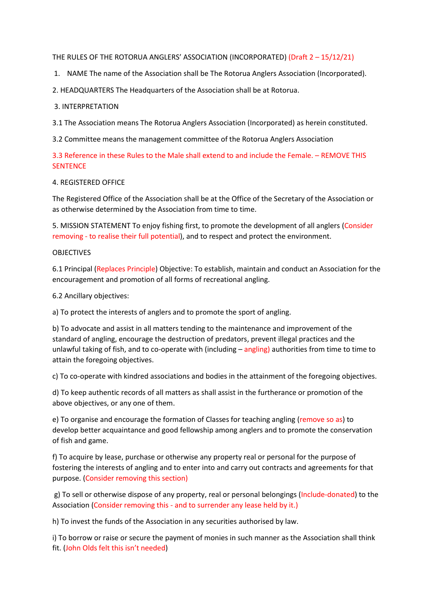### THE RULES OF THE ROTORUA ANGLERS' ASSOCIATION (INCORPORATED) (Draft 2 – 15/12/21)

1. NAME The name of the Association shall be The Rotorua Anglers Association (Incorporated).

2. HEADQUARTERS The Headquarters of the Association shall be at Rotorua.

## 3. INTERPRETATION

3.1 The Association means The Rotorua Anglers Association (Incorporated) as herein constituted.

3.2 Committee means the management committee of the Rotorua Anglers Association

3.3 Reference in these Rules to the Male shall extend to and include the Female. – REMOVE THIS **SENTENCE** 

# 4. REGISTERED OFFICE

The Registered Office of the Association shall be at the Office of the Secretary of the Association or as otherwise determined by the Association from time to time.

5. MISSION STATEMENT To enjoy fishing first, to promote the development of all anglers (Consider removing - to realise their full potential), and to respect and protect the environment.

# OBJECTIVES

6.1 Principal (Replaces Principle) Objective: To establish, maintain and conduct an Association for the encouragement and promotion of all forms of recreational angling.

6.2 Ancillary objectives:

a) To protect the interests of anglers and to promote the sport of angling.

b) To advocate and assist in all matters tending to the maintenance and improvement of the standard of angling, encourage the destruction of predators, prevent illegal practices and the unlawful taking of fish, and to co-operate with (including  $-\frac{angular}{n}$ ) authorities from time to time to attain the foregoing objectives.

c) To co-operate with kindred associations and bodies in the attainment of the foregoing objectives.

d) To keep authentic records of all matters as shall assist in the furtherance or promotion of the above objectives, or any one of them.

e) To organise and encourage the formation of Classes for teaching angling (remove so as) to develop better acquaintance and good fellowship among anglers and to promote the conservation of fish and game.

f) To acquire by lease, purchase or otherwise any property real or personal for the purpose of fostering the interests of angling and to enter into and carry out contracts and agreements for that purpose. (Consider removing this section)

g) To sell or otherwise dispose of any property, real or personal belongings (Include-donated) to the Association (Consider removing this - and to surrender any lease held by it.)

h) To invest the funds of the Association in any securities authorised by law.

i) To borrow or raise or secure the payment of monies in such manner as the Association shall think fit. (John Olds felt this isn't needed)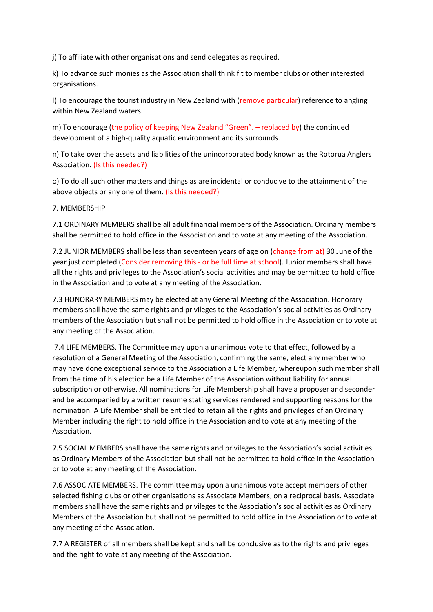j) To affiliate with other organisations and send delegates as required.

k) To advance such monies as the Association shall think fit to member clubs or other interested organisations.

l) To encourage the tourist industry in New Zealand with (remove particular) reference to angling within New Zealand waters.

m) To encourage (the policy of keeping New Zealand "Green". – replaced by) the continued development of a high-quality aquatic environment and its surrounds.

n) To take over the assets and liabilities of the unincorporated body known as the Rotorua Anglers Association. (Is this needed?)

o) To do all such other matters and things as are incidental or conducive to the attainment of the above objects or any one of them. (Is this needed?)

7. MEMBERSHIP

7.1 ORDINARY MEMBERS shall be all adult financial members of the Association. Ordinary members shall be permitted to hold office in the Association and to vote at any meeting of the Association.

7.2 JUNIOR MEMBERS shall be less than seventeen years of age on (change from at) 30 June of the year just completed (Consider removing this - or be full time at school). Junior members shall have all the rights and privileges to the Association's social activities and may be permitted to hold office in the Association and to vote at any meeting of the Association.

7.3 HONORARY MEMBERS may be elected at any General Meeting of the Association. Honorary members shall have the same rights and privileges to the Association's social activities as Ordinary members of the Association but shall not be permitted to hold office in the Association or to vote at any meeting of the Association.

7.4 LIFE MEMBERS. The Committee may upon a unanimous vote to that effect, followed by a resolution of a General Meeting of the Association, confirming the same, elect any member who may have done exceptional service to the Association a Life Member, whereupon such member shall from the time of his election be a Life Member of the Association without liability for annual subscription or otherwise. All nominations for Life Membership shall have a proposer and seconder and be accompanied by a written resume stating services rendered and supporting reasons for the nomination. A Life Member shall be entitled to retain all the rights and privileges of an Ordinary Member including the right to hold office in the Association and to vote at any meeting of the Association.

7.5 SOCIAL MEMBERS shall have the same rights and privileges to the Association's social activities as Ordinary Members of the Association but shall not be permitted to hold office in the Association or to vote at any meeting of the Association.

7.6 ASSOCIATE MEMBERS. The committee may upon a unanimous vote accept members of other selected fishing clubs or other organisations as Associate Members, on a reciprocal basis. Associate members shall have the same rights and privileges to the Association's social activities as Ordinary Members of the Association but shall not be permitted to hold office in the Association or to vote at any meeting of the Association.

7.7 A REGISTER of all members shall be kept and shall be conclusive as to the rights and privileges and the right to vote at any meeting of the Association.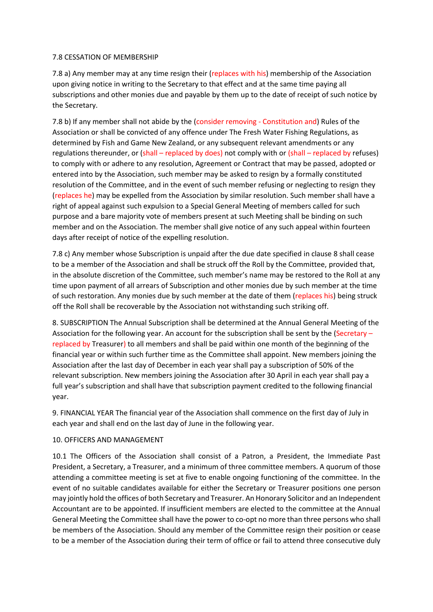### 7.8 CESSATION OF MEMBERSHIP

7.8 a) Any member may at any time resign their (replaces with his) membership of the Association upon giving notice in writing to the Secretary to that effect and at the same time paying all subscriptions and other monies due and payable by them up to the date of receipt of such notice by the Secretary.

7.8 b) If any member shall not abide by the (consider removing - Constitution and) Rules of the Association or shall be convicted of any offence under The Fresh Water Fishing Regulations, as determined by Fish and Game New Zealand, or any subsequent relevant amendments or any regulations thereunder, or (shall – replaced by does) not comply with or (shall – replaced by refuses) to comply with or adhere to any resolution, Agreement or Contract that may be passed, adopted or entered into by the Association, such member may be asked to resign by a formally constituted resolution of the Committee, and in the event of such member refusing or neglecting to resign they (replaces he) may be expelled from the Association by similar resolution. Such member shall have a right of appeal against such expulsion to a Special General Meeting of members called for such purpose and a bare majority vote of members present at such Meeting shall be binding on such member and on the Association. The member shall give notice of any such appeal within fourteen days after receipt of notice of the expelling resolution.

7.8 c) Any member whose Subscription is unpaid after the due date specified in clause 8 shall cease to be a member of the Association and shall be struck off the Roll by the Committee, provided that, in the absolute discretion of the Committee, such member's name may be restored to the Roll at any time upon payment of all arrears of Subscription and other monies due by such member at the time of such restoration. Any monies due by such member at the date of them (replaces his) being struck off the Roll shall be recoverable by the Association not withstanding such striking off.

8. SUBSCRIPTION The Annual Subscription shall be determined at the Annual General Meeting of the Association for the following year. An account for the subscription shall be sent by the (Secretary – replaced by Treasurer) to all members and shall be paid within one month of the beginning of the financial year or within such further time as the Committee shall appoint. New members joining the Association after the last day of December in each year shall pay a subscription of 50% of the relevant subscription. New members joining the Association after 30 April in each year shall pay a full year's subscription and shall have that subscription payment credited to the following financial year.

9. FINANCIAL YEAR The financial year of the Association shall commence on the first day of July in each year and shall end on the last day of June in the following year.

### 10. OFFICERS AND MANAGEMENT

10.1 The Officers of the Association shall consist of a Patron, a President, the Immediate Past President, a Secretary, a Treasurer, and a minimum of three committee members. A quorum of those attending a committee meeting is set at five to enable ongoing functioning of the committee. In the event of no suitable candidates available for either the Secretary or Treasurer positions one person may jointly hold the offices of both Secretary and Treasurer. An Honorary Solicitor and an Independent Accountant are to be appointed. If insufficient members are elected to the committee at the Annual General Meeting the Committee shall have the power to co-opt no more than three persons who shall be members of the Association. Should any member of the Committee resign their position or cease to be a member of the Association during their term of office or fail to attend three consecutive duly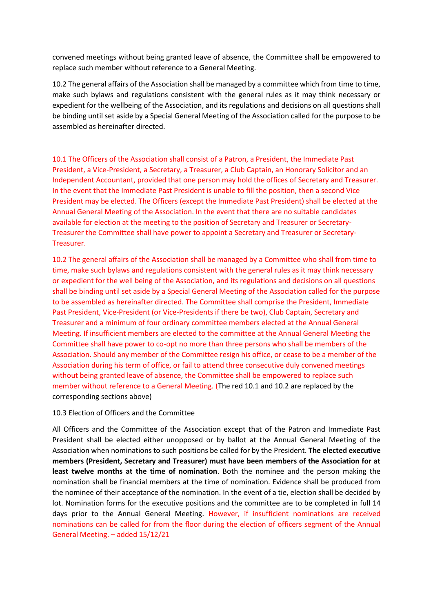convened meetings without being granted leave of absence, the Committee shall be empowered to replace such member without reference to a General Meeting.

10.2 The general affairs of the Association shall be managed by a committee which from time to time, make such bylaws and regulations consistent with the general rules as it may think necessary or expedient for the wellbeing of the Association, and its regulations and decisions on all questions shall be binding until set aside by a Special General Meeting of the Association called for the purpose to be assembled as hereinafter directed.

10.1 The Officers of the Association shall consist of a Patron, a President, the Immediate Past President, a Vice-President, a Secretary, a Treasurer, a Club Captain, an Honorary Solicitor and an Independent Accountant, provided that one person may hold the offices of Secretary and Treasurer. In the event that the Immediate Past President is unable to fill the position, then a second Vice President may be elected. The Officers (except the Immediate Past President) shall be elected at the Annual General Meeting of the Association. In the event that there are no suitable candidates available for election at the meeting to the position of Secretary and Treasurer or Secretary-Treasurer the Committee shall have power to appoint a Secretary and Treasurer or Secretary-Treasurer.

10.2 The general affairs of the Association shall be managed by a Committee who shall from time to time, make such bylaws and regulations consistent with the general rules as it may think necessary or expedient for the well being of the Association, and its regulations and decisions on all questions shall be binding until set aside by a Special General Meeting of the Association called for the purpose to be assembled as hereinafter directed. The Committee shall comprise the President, Immediate Past President, Vice-President (or Vice-Presidents if there be two), Club Captain, Secretary and Treasurer and a minimum of four ordinary committee members elected at the Annual General Meeting. If insufficient members are elected to the committee at the Annual General Meeting the Committee shall have power to co-opt no more than three persons who shall be members of the Association. Should any member of the Committee resign his office, or cease to be a member of the Association during his term of office, or fail to attend three consecutive duly convened meetings without being granted leave of absence, the Committee shall be empowered to replace such member without reference to a General Meeting. (The red 10.1 and 10.2 are replaced by the corresponding sections above)

### 10.3 Election of Officers and the Committee

All Officers and the Committee of the Association except that of the Patron and Immediate Past President shall be elected either unopposed or by ballot at the Annual General Meeting of the Association when nominations to such positions be called for by the President. **The elected executive members (President, Secretary and Treasurer) must have been members of the Association for at least twelve months at the time of nomination**. Both the nominee and the person making the nomination shall be financial members at the time of nomination. Evidence shall be produced from the nominee of their acceptance of the nomination. In the event of a tie, election shall be decided by lot. Nomination forms for the executive positions and the committee are to be completed in full 14 days prior to the Annual General Meeting. However, if insufficient nominations are received nominations can be called for from the floor during the election of officers segment of the Annual General Meeting. – added 15/12/21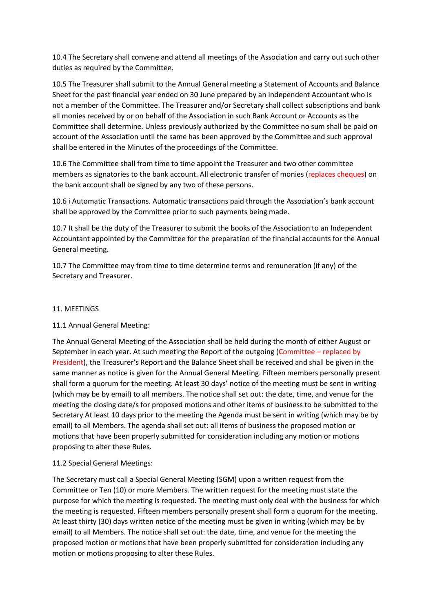10.4 The Secretary shall convene and attend all meetings of the Association and carry out such other duties as required by the Committee.

10.5 The Treasurer shall submit to the Annual General meeting a Statement of Accounts and Balance Sheet for the past financial year ended on 30 June prepared by an Independent Accountant who is not a member of the Committee. The Treasurer and/or Secretary shall collect subscriptions and bank all monies received by or on behalf of the Association in such Bank Account or Accounts as the Committee shall determine. Unless previously authorized by the Committee no sum shall be paid on account of the Association until the same has been approved by the Committee and such approval shall be entered in the Minutes of the proceedings of the Committee.

10.6 The Committee shall from time to time appoint the Treasurer and two other committee members as signatories to the bank account. All electronic transfer of monies (replaces cheques) on the bank account shall be signed by any two of these persons.

10.6 i Automatic Transactions. Automatic transactions paid through the Association's bank account shall be approved by the Committee prior to such payments being made.

10.7 It shall be the duty of the Treasurer to submit the books of the Association to an Independent Accountant appointed by the Committee for the preparation of the financial accounts for the Annual General meeting.

10.7 The Committee may from time to time determine terms and remuneration (if any) of the Secretary and Treasurer.

### 11. MEETINGS

### 11.1 Annual General Meeting:

The Annual General Meeting of the Association shall be held during the month of either August or September in each year. At such meeting the Report of the outgoing (Committee – replaced by President), the Treasurer's Report and the Balance Sheet shall be received and shall be given in the same manner as notice is given for the Annual General Meeting. Fifteen members personally present shall form a quorum for the meeting. At least 30 days' notice of the meeting must be sent in writing (which may be by email) to all members. The notice shall set out: the date, time, and venue for the meeting the closing date/s for proposed motions and other items of business to be submitted to the Secretary At least 10 days prior to the meeting the Agenda must be sent in writing (which may be by email) to all Members. The agenda shall set out: all items of business the proposed motion or motions that have been properly submitted for consideration including any motion or motions proposing to alter these Rules.

### 11.2 Special General Meetings:

The Secretary must call a Special General Meeting (SGM) upon a written request from the Committee or Ten (10) or more Members. The written request for the meeting must state the purpose for which the meeting is requested. The meeting must only deal with the business for which the meeting is requested. Fifteen members personally present shall form a quorum for the meeting. At least thirty (30) days written notice of the meeting must be given in writing (which may be by email) to all Members. The notice shall set out: the date, time, and venue for the meeting the proposed motion or motions that have been properly submitted for consideration including any motion or motions proposing to alter these Rules.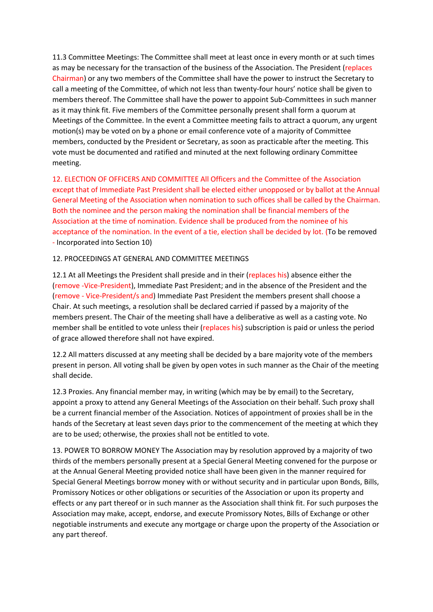11.3 Committee Meetings: The Committee shall meet at least once in every month or at such times as may be necessary for the transaction of the business of the Association. The President (replaces Chairman) or any two members of the Committee shall have the power to instruct the Secretary to call a meeting of the Committee, of which not less than twenty-four hours' notice shall be given to members thereof. The Committee shall have the power to appoint Sub-Committees in such manner as it may think fit. Five members of the Committee personally present shall form a quorum at Meetings of the Committee. In the event a Committee meeting fails to attract a quorum, any urgent motion(s) may be voted on by a phone or email conference vote of a majority of Committee members, conducted by the President or Secretary, as soon as practicable after the meeting. This vote must be documented and ratified and minuted at the next following ordinary Committee meeting.

12. ELECTION OF OFFICERS AND COMMITTEE All Officers and the Committee of the Association except that of Immediate Past President shall be elected either unopposed or by ballot at the Annual General Meeting of the Association when nomination to such offices shall be called by the Chairman. Both the nominee and the person making the nomination shall be financial members of the Association at the time of nomination. Evidence shall be produced from the nominee of his acceptance of the nomination. In the event of a tie, election shall be decided by lot. (To be removed - Incorporated into Section 10)

# 12. PROCEEDINGS AT GENERAL AND COMMITTEE MEETINGS

12.1 At all Meetings the President shall preside and in their (replaces his) absence either the (remove -Vice-President), Immediate Past President; and in the absence of the President and the (remove - Vice-President/s and) Immediate Past President the members present shall choose a Chair. At such meetings, a resolution shall be declared carried if passed by a majority of the members present. The Chair of the meeting shall have a deliberative as well as a casting vote. No member shall be entitled to vote unless their (replaces his) subscription is paid or unless the period of grace allowed therefore shall not have expired.

12.2 All matters discussed at any meeting shall be decided by a bare majority vote of the members present in person. All voting shall be given by open votes in such manner as the Chair of the meeting shall decide.

12.3 Proxies. Any financial member may, in writing (which may be by email) to the Secretary, appoint a proxy to attend any General Meetings of the Association on their behalf. Such proxy shall be a current financial member of the Association. Notices of appointment of proxies shall be in the hands of the Secretary at least seven days prior to the commencement of the meeting at which they are to be used; otherwise, the proxies shall not be entitled to vote.

13. POWER TO BORROW MONEY The Association may by resolution approved by a majority of two thirds of the members personally present at a Special General Meeting convened for the purpose or at the Annual General Meeting provided notice shall have been given in the manner required for Special General Meetings borrow money with or without security and in particular upon Bonds, Bills, Promissory Notices or other obligations or securities of the Association or upon its property and effects or any part thereof or in such manner as the Association shall think fit. For such purposes the Association may make, accept, endorse, and execute Promissory Notes, Bills of Exchange or other negotiable instruments and execute any mortgage or charge upon the property of the Association or any part thereof.